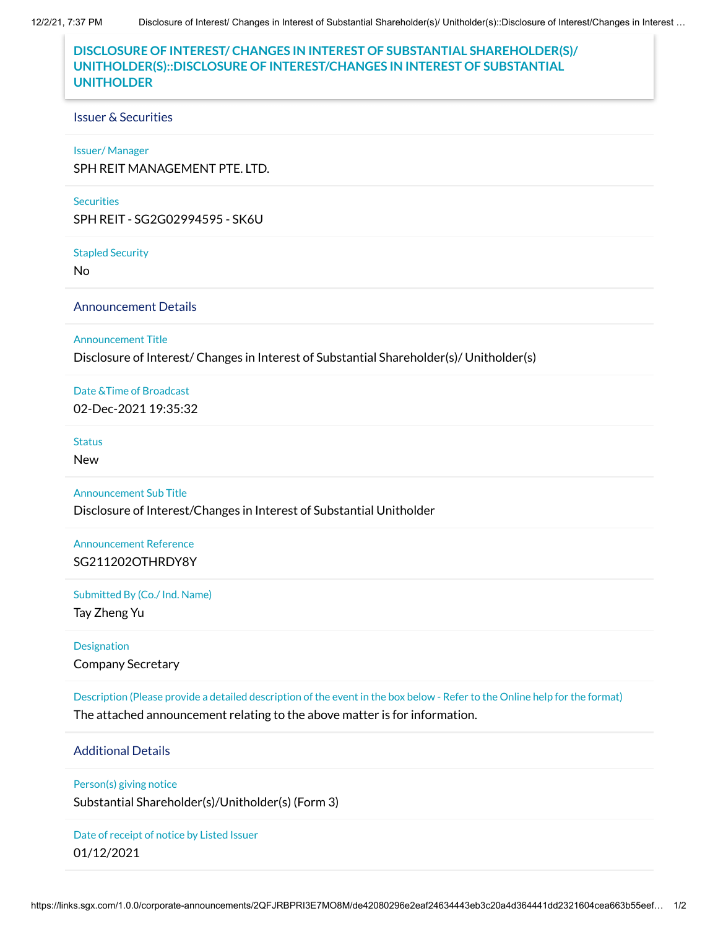# **DISCLOSURE OF INTEREST/ CHANGES IN INTEREST OF SUBSTANTIAL SHAREHOLDER(S)/ UNITHOLDER(S)::DISCLOSURE OF INTEREST/CHANGES IN INTEREST OF SUBSTANTIAL UNITHOLDER**

## Issuer & Securities

### Issuer/ Manager

SPH REIT MANAGEMENT PTE. LTD.

### **Securities**

SPH REIT - SG2G02994595 - SK6U

#### Stapled Security

No

Announcement Details

Announcement Title

Disclosure of Interest/ Changes in Interest of Substantial Shareholder(s)/ Unitholder(s)

Date &Time of Broadcast 02-Dec-2021 19:35:32

**Status** 

New

Announcement Sub Title

Disclosure of Interest/Changes in Interest of Substantial Unitholder

Announcement Reference SG211202OTHRDY8Y

Submitted By (Co./ Ind. Name)

Tay Zheng Yu

**Designation** Company Secretary

Description (Please provide a detailed description of the event in the box below - Refer to the Online help for the format) The attached announcement relating to the above matter is for information.

Additional Details

Person(s) giving notice

Substantial Shareholder(s)/Unitholder(s) (Form 3)

Date of receipt of notice by Listed Issuer 01/12/2021